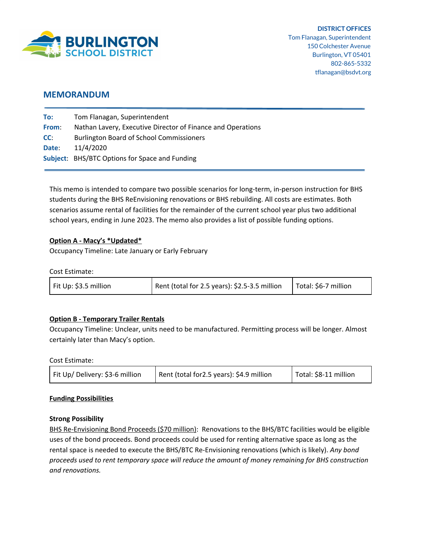

# **MEMORANDUM**

| To:   | Tom Flanagan, Superintendent                                |
|-------|-------------------------------------------------------------|
| From: | Nathan Lavery, Executive Director of Finance and Operations |
| CC:   | <b>Burlington Board of School Commissioners</b>             |
| Date: | 11/4/2020                                                   |
|       | Subject: BHS/BTC Options for Space and Funding              |

This memo is intended to compare two possible scenarios for long-term, in-person instruction for BHS students during the BHS ReEnvisioning renovations or BHS rebuilding. All costs are estimates. Both scenarios assume rental of facilities for the remainder of the current school year plus two additional school years, ending in June 2023. The memo also provides a list of possible funding options.

## **Option A - Macy's \*Updated\***

Occupancy Timeline: Late January or Early February

Cost Estimate:

| Fit Up: \$3.5 million | Rent (total for 2.5 years): \$2.5-3.5 million | Total: \$6-7 million |
|-----------------------|-----------------------------------------------|----------------------|
|-----------------------|-----------------------------------------------|----------------------|

## **Option B - Temporary Trailer Rentals**

Occupancy Timeline: Unclear, units need to be manufactured. Permitting process will be longer. Almost certainly later than Macy's option.

Cost Estimate:

| Fit Up/ Delivery: \$3-6 million | Rent (total for 2.5 years): \$4.9 million | Total: \$8-11 million |
|---------------------------------|-------------------------------------------|-----------------------|
|---------------------------------|-------------------------------------------|-----------------------|

#### **Funding Possibilities**

#### **Strong Possibility**

BHS Re-Envisioning Bond Proceeds (\$70 million): Renovations to the BHS/BTC facilities would be eligible uses of the bond proceeds. Bond proceeds could be used for renting alternative space as long as the rental space is needed to execute the BHS/BTC Re-Envisioning renovations (which is likely). *Any bond proceeds used to rent temporary space will reduce the amount of money remaining for BHS construction and renovations.*